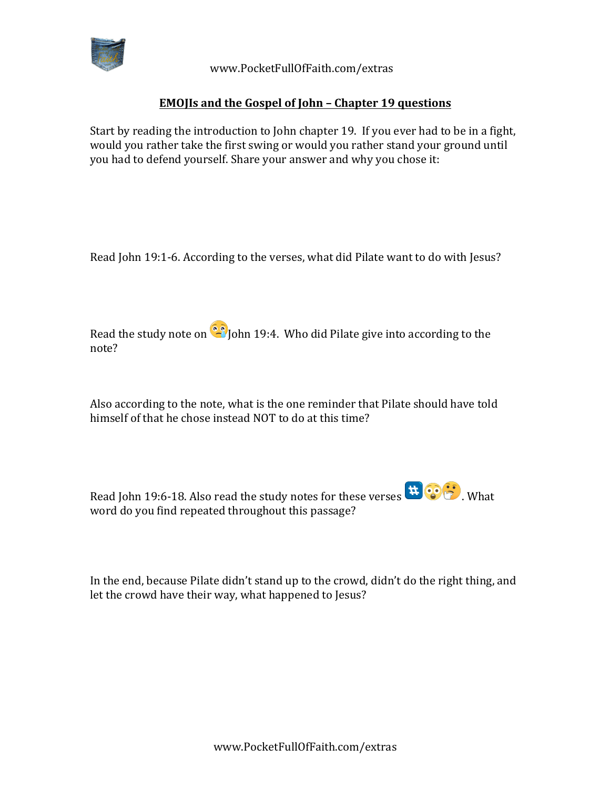

 www.PocketFullOfFaith.com/extras

## **EMOJIs and the Gospel of John - Chapter 19 questions**

Start by reading the introduction to John chapter 19. If you ever had to be in a fight, would you rather take the first swing or would you rather stand your ground until you had to defend yourself. Share your answer and why you chose it:

Read John 19:1-6. According to the verses, what did Pilate want to do with Jesus?

Read the study note on  $\bullet$  John 19:4. Who did Pilate give into according to the note? 

Also according to the note, what is the one reminder that Pilate should have told himself of that he chose instead NOT to do at this time?

Read John 19:6-18. Also read the study notes for these verses  $\mathbf{R}^{\text{max}}$ . What word do you find repeated throughout this passage?

In the end, because Pilate didn't stand up to the crowd, didn't do the right thing, and let the crowd have their way, what happened to Jesus?